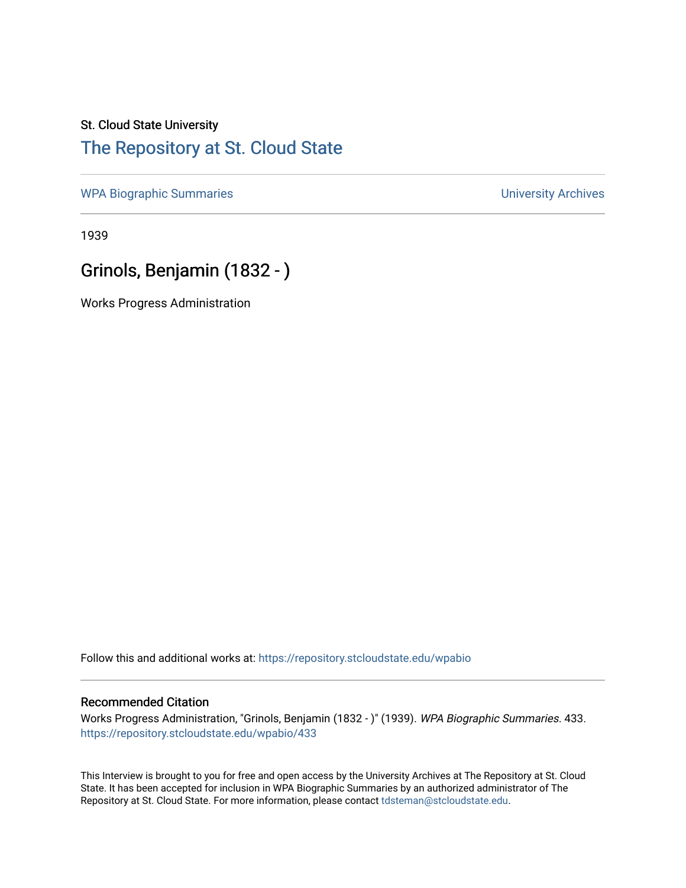# St. Cloud State University

#### [The Repository at St. Cloud State](https://repository.stcloudstate.edu/)

[WPA Biographic Summaries](https://repository.stcloudstate.edu/wpabio) **WPA Biographic Summaries University Archives** 

1939

## Grinols, Benjamin (1832 - )

Works Progress Administration

Follow this and additional works at: [https://repository.stcloudstate.edu/wpabio](https://repository.stcloudstate.edu/wpabio?utm_source=repository.stcloudstate.edu%2Fwpabio%2F433&utm_medium=PDF&utm_campaign=PDFCoverPages) 

#### Recommended Citation

Works Progress Administration, "Grinols, Benjamin (1832 - )" (1939). WPA Biographic Summaries. 433. [https://repository.stcloudstate.edu/wpabio/433](https://repository.stcloudstate.edu/wpabio/433?utm_source=repository.stcloudstate.edu%2Fwpabio%2F433&utm_medium=PDF&utm_campaign=PDFCoverPages) 

This Interview is brought to you for free and open access by the University Archives at The Repository at St. Cloud State. It has been accepted for inclusion in WPA Biographic Summaries by an authorized administrator of The Repository at St. Cloud State. For more information, please contact [tdsteman@stcloudstate.edu.](mailto:tdsteman@stcloudstate.edu)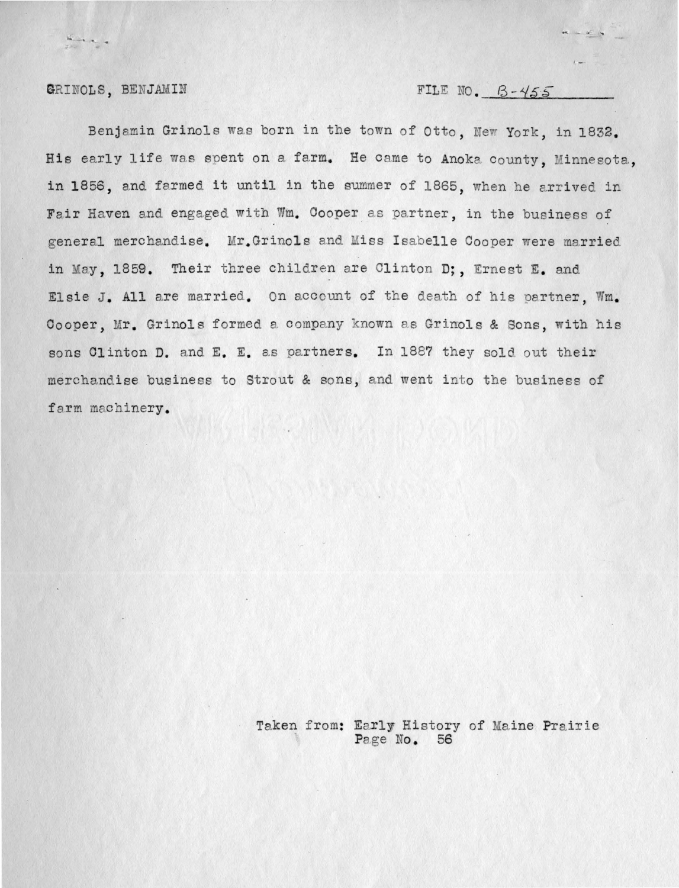GRINOLS, BENJAMIN

 $\frac{d\mathcal{L}_{\mathcal{M}}}{d\mathcal{L}_{\mathcal{M}}}\frac{d\mathcal{L}_{\mathcal{M}}}{d\mathcal{L}_{\mathcal{M}}}\frac{d\mathcal{L}_{\mathcal{M}}}{d\mathcal{L}_{\mathcal{M}}}\frac{d\mathcal{L}_{\mathcal{M}}}{d\mathcal{L}_{\mathcal{M}}}\frac{d\mathcal{L}_{\mathcal{M}}}{d\mathcal{L}_{\mathcal{M}}}\frac{d\mathcal{L}_{\mathcal{M}}}{d\mathcal{L}_{\mathcal{M}}}\frac{d\mathcal{L}_{\mathcal{M}}}{d\mathcal{L}_{\mathcal{M}}}\frac{d\mathcal{L}_{$ 

FILE NO.  $B - 455$ 

Benjamin Grinols was born in the town of Otto, New York, in 1832. His early life was spent on a farm. He came to Anoka county, Minnesota, in 1856, and farmed it until in the summer of 1865, when he arrived in Fair Haven and engaged with Wm. Cooper as partner, in the business of general merchandise. Mr. Grinols and Miss Isabelle Cooper were married in May, 1859. Their three children are Clinton D;, Ernest E. and Elsie J. All are married. On account of the death of his partner. Wm. Cooper, Mr. Grinols formed a company known as Grinols & Sons, with his sons Clinton D. and E. E. as partners. In 1887 they sold out their merchandise business to Strout & sons, and went into the business of farm machinery.

> Taken from: Early History of Maine Prairie Page No. 56